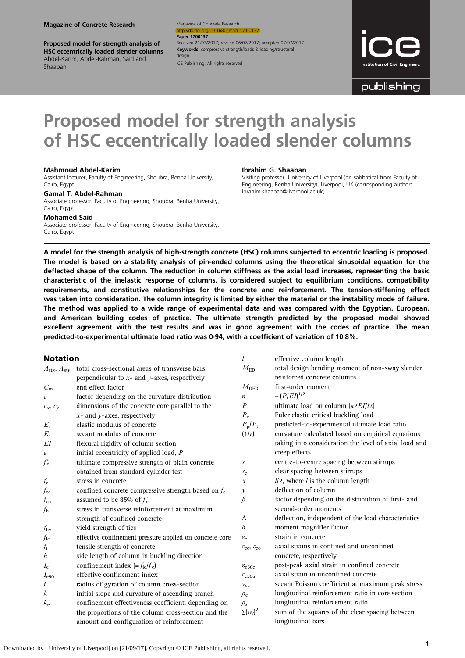Proposed model for strength analysis of HSC eccentrically loaded slender columns Abdel-Karim, Abdel-Rahman, Said and Shaaban

Magazine of Concrete Research v/10.1680/jmacr.17.00137 **Paper 1700137** Received 21/03/2017; revised 06/07/2017; accepted 07/07/2017 Keywords: compressive strength/loads & loading/structural design

ICE Publishing: All rights reserved



publishing

# Proposed model for strength analysis of HSC eccentrically loaded slender columns

#### Mahmoud Abdel-Karim

Assistant lecturer, Faculty of Engineering, Shoubra, Benha University, Cairo, Egypt

#### Gamal T. Abdel-Rahman

Associate professor, Faculty of Engineering, Shoubra, Benha University, Cairo, Egypt

Mohamed Said

Associate professor, Faculty of Engineering, Shoubra, Benha University, Cairo, Egypt

#### Ibrahim G. Shaaban

l effective column length

Visiting professor, University of Liverpool (on sabbatical from Faculty of Engineering, Benha University), Liverpool, UK (corresponding author: [ibrahim.shaaban@liverpool.ac.uk\)](mailto:ibrahim.shaaban@liverpool.ac.uk)

A model for the strength analysis of high-strength concrete (HSC) columns subjected to eccentric loading is proposed. The model is based on a stability analysis of pin-ended columns using the theoretical sinusoidal equation for the deflected shape of the column. The reduction in column stiffness as the axial load increases, representing the basic characteristic of the inelastic response of columns, is considered subject to equilibrium conditions, compatibility requirements, and constitutive relationships for the concrete and reinforcement. The tension-stiffening effect was taken into consideration. The column integrity is limited by either the material or the instability mode of failure. The method was applied to a wide range of experimental data and was compared with the Egyptian, European, and American building codes of practice. The ultimate strength predicted by the proposed model showed excellent agreement with the test results and was in good agreement with the codes of practice. The mean predicted-to-experimental ultimate load ratio was 0·94, with a coefficient of variation of 10·8%.

#### Notation

| $A_{\text{stx}}, A_{\text{sty}}$ | total cross-sectional areas of transverse bars          | $M_{\rm{ED}}$                                   | total design bending moment of non-sway slender       |
|----------------------------------|---------------------------------------------------------|-------------------------------------------------|-------------------------------------------------------|
|                                  | perpendicular to $x$ - and $y$ -axes, respectively      |                                                 | reinforced concrete columns                           |
| $C_{\rm m}$                      | end effect factor                                       | $M_{\rm OED}$                                   | first-order moment                                    |
| $\mathcal C$                     | factor depending on the curvature distribution          | n                                               | $=(P/ED^{1/2})$                                       |
| $c_x, c_y$                       | dimensions of the concrete core parallel to the         | $\boldsymbol{P}$                                | ultimate load on column $(\pi 2EI/12)$                |
|                                  | $x$ - and $y$ -axes, respectively                       | $P_{\rm c}$                                     | Euler elastic critical buckling load                  |
| $E_{\rm c}$                      | elastic modulus of concrete                             | $P_{\rm p}/P_{\rm t}$                           | predicted-to-experimental ultimate load ratio         |
| $E_{\rm s}$                      | secant modulus of concrete                              | (1/r)                                           | curvature calculated based on empirical equations     |
| EI                               | flexural rigidity of column section                     |                                                 | taking into consideration the level of axial load and |
| $\epsilon$                       | initial eccentricity of applied load, P                 |                                                 | creep effects                                         |
| $f'_{\rm c}$                     | ultimate compressive strength of plain concrete         | S                                               | centre-to-centre spacing between stirrups             |
|                                  | obtained from standard cylinder test                    | $S_{\rm C}$                                     | clear spacing between stirrups                        |
| $f_{\rm c}$                      | stress in concrete                                      | $\mathcal{X}$                                   | $1/2$ , where $l$ is the column length                |
| $f_{\rm cc}$                     | confined concrete compressive strength based on $f_c$   | у                                               | deflection of column                                  |
| $f_{\rm co}$                     | assumed to be 85% of $f'_c$                             | $\beta$                                         | factor depending on the distribution of first- and    |
| $f_{\rm h}$                      | stress in transverse reinforcement at maximum           |                                                 | second-order moments                                  |
|                                  | strength of confined concrete                           | Δ                                               | deflection, independent of the load characteristics   |
| $f_{\rm hy}$                     | yield strength of ties                                  | $\delta$                                        | moment magnifier factor                               |
| $f_{\rm ie}$                     | effective confinement pressure applied on concrete core | $\varepsilon_{\rm c}$                           | strain in concrete                                    |
| $f_{\rm t}$                      | tensile strength of concrete                            | $\varepsilon_{\rm cc}$ , $\varepsilon_{\rm co}$ | axial strains in confined and unconfined              |
| h                                | side length of column in buckling direction             |                                                 | concrete, respectively                                |
| $I_{\rm e}$                      | confinement index $(=f_{\text{ie}}/f_{\text{c}}')$      | $\epsilon_{c50c}$                               | post-peak axial strain in confined concrete           |
| $I_{\rm e50}$                    | effective confinement index                             | $\varepsilon_{c50u}$                            | axial strain in unconfined concrete                   |
| i                                | radius of gyration of column cross-section              | $v_{\rm cc}$                                    | secant Poisson coefficient at maximum peak stress     |
| k                                | initial slope and curvature of ascending branch         | $\rho_c$                                        | longitudinal reinforcement ratio in core section      |
| $k_{\rm e}$                      | confinement effectiveness coefficient, depending on     | $\rho_{\rm s}$                                  | longitudinal reinforcement ratio                      |
|                                  | the proportions of the column cross-section and the     | $\Sigma(w_i)^2$                                 | sum of the squares of the clear spacing between       |
|                                  | amount and configuration of reinforcement               |                                                 | longitudinal bars                                     |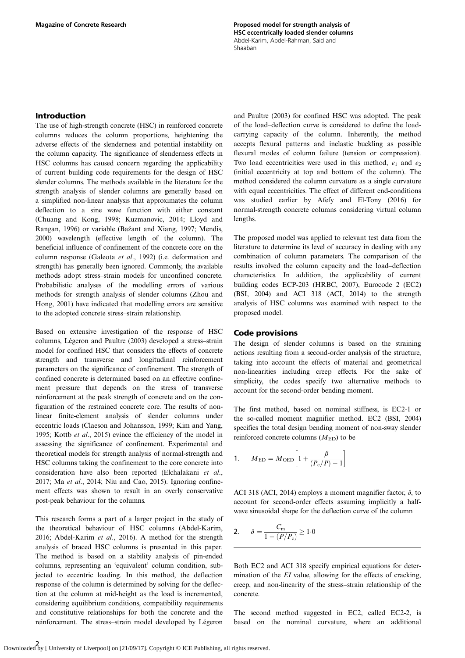# <span id="page-1-0"></span>Introduction

The use of high-strength concrete (HSC) in reinforced concrete columns reduces the column proportions, heightening the adverse effects of the slenderness and potential instability on the column capacity. The significance of slenderness effects in HSC columns has caused concern regarding the applicability of current building code requirements for the design of HSC slender columns. The methods available in the literature for the strength analysis of slender columns are generally based on a simplified non-linear analysis that approximates the column deflection to a sine wave function with either constant [\(Chuang and Kong, 1998;](#page-8-0) [Kuzmanovic, 2014](#page-9-0); [Lloyd and](#page-9-0) [Rangan, 1996](#page-9-0)) or variable (Baž[ant and Xiang, 1997;](#page-8-0) [Mendis,](#page-9-0) [2000](#page-9-0)) wavelength (effective length of the column). The beneficial influence of confinement of the concrete core on the column response ([Galeota](#page-9-0) et al., 1992) (i.e. deformation and strength) has generally been ignored. Commonly, the available methods adopt stress–strain models for unconfined concrete. Probabilistic analyses of the modelling errors of various methods for strength analysis of slender columns [\(Zhou and](#page-9-0) [Hong, 2001\)](#page-9-0) have indicated that modelling errors are sensitive to the adopted concrete stress–strain relationship.

Based on extensive investigation of the response of HSC columns, [Légeron and Paultre \(2003\)](#page-9-0) developed a stress–strain model for confined HSC that considers the effects of concrete strength and transverse and longitudinal reinforcement parameters on the significance of confinement. The strength of confined concrete is determined based on an effective confinement pressure that depends on the stress of transverse reinforcement at the peak strength of concrete and on the configuration of the restrained concrete core. The results of nonlinear finite-element analysis of slender columns under eccentric loads [\(Claeson and Johansson, 1999; Kim and Yang,](#page-9-0) [1995](#page-9-0); Kottb et al[., 2015](#page-9-0)) evince the efficiency of the model in assessing the significance of confinement. Experimental and theoretical models for strength analysis of normal-strength and HSC columns taking the confinement to the core concrete into consideration have also been reported ([Elchalakani](#page-9-0) et al., [2017](#page-9-0); Ma et al[., 2014](#page-9-0); [Niu and Cao, 2015\)](#page-9-0). Ignoring confinement effects was shown to result in an overly conservative post-peak behaviour for the columns.

This research forms a part of a larger project in the study of the theoretical behaviour of HSC columns ([Abdel-Karim,](#page-8-0) [2016](#page-8-0); [Abdel-Karim](#page-8-0) et al., 2016). A method for the strength analysis of braced HSC columns is presented in this paper. The method is based on a stability analysis of pin-ended columns, representing an 'equivalent' column condition, subjected to eccentric loading. In this method, the deflection response of the column is determined by solving for the deflection at the column at mid-height as the load is incremented, considering equilibrium conditions, compatibility requirements and constitutive relationships for both the concrete and the reinforcement. The stress–strain model developed by [Légeron](#page-9-0)

[and Paultre \(2003\)](#page-9-0) for confined HSC was adopted. The peak of the load–deflection curve is considered to define the loadcarrying capacity of the column. Inherently, the method accepts flexural patterns and inelastic buckling as possible flexural modes of column failure (tension or compression). Two load eccentricities were used in this method,  $e_1$  and  $e_2$ (initial eccentricity at top and bottom of the column). The method considered the column curvature as a single curvature with equal eccentricities. The effect of different end-conditions was studied earlier by [Afefy and El-Tony \(2016\)](#page-8-0) for normal-strength concrete columns considering virtual column lengths.

The proposed model was applied to relevant test data from the literature to determine its level of accuracy in dealing with any combination of column parameters. The comparison of the results involved the column capacity and the load–deflection characteristics. In addition, the applicability of current building codes ECP-203 [\(HRBC, 2007\)](#page-9-0), Eurocode 2 (EC2) [\(BSI, 2004](#page-8-0)) and ACI 318 ([ACI, 2014](#page-8-0)) to the strength analysis of HSC columns was examined with respect to the proposed model.

#### Code provisions

The design of slender columns is based on the straining actions resulting from a second-order analysis of the structure, taking into account the effects of material and geometrical non-linearities including creep effects. For the sake of simplicity, the codes specify two alternative methods to account for the second-order bending moment.

The first method, based on nominal stiffness, is EC2-1 or the so-called moment magnifier method. EC2 [\(BSI, 2004](#page-8-0)) specifies the total design bending moment of non-sway slender reinforced concrete columns  $(M_{ED})$  to be

1. 
$$
M_{\text{ED}} = M_{\text{OED}} \left[ 1 + \frac{\beta}{(P_{\text{c}}/P) - 1} \right]
$$

ACI 318 [\(ACI, 2014](#page-8-0)) employs a moment magnifier factor,  $\delta$ , to account for second-order effects assuming implicitly a halfwave sinusoidal shape for the deflection curve of the column

2. 
$$
\delta = \frac{C_m}{1 - (P/P_c)} \ge 1.0
$$

Both EC2 and ACI 318 specify empirical equations for determination of the *EI* value, allowing for the effects of cracking, creep, and non-linearity of the stress–strain relationship of the concrete.

The second method suggested in EC2, called EC2-2, is based on the nominal curvature, where an additional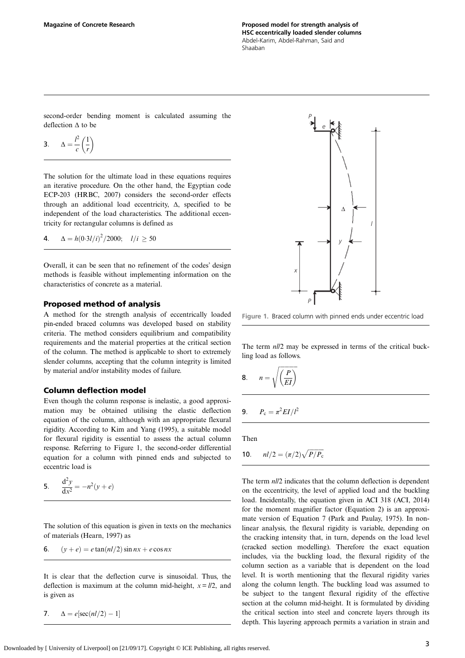<span id="page-2-0"></span>second-order bending moment is calculated assuming the deflection Δ to be

$$
3. \qquad \Delta = \frac{l^2}{c} \left( \frac{1}{r} \right)
$$

The solution for the ultimate load in these equations requires an iterative procedure. On the other hand, the Egyptian code ECP-203 ([HRBC, 2007](#page-9-0)) considers the second-order effects through an additional load eccentricity, Δ, specified to be independent of the load characteristics. The additional eccentricity for rectangular columns is defined as

**4**. 
$$
\Delta = h(0.3l/i)^2/2000;
$$
  $l/i \ge 50$ 

Overall, it can be seen that no refinement of the codes' design methods is feasible without implementing information on the characteristics of concrete as a material.

## Proposed method of analysis

A method for the strength analysis of eccentrically loaded pin-ended braced columns was developed based on stability criteria. The method considers equilibrium and compatibility requirements and the material properties at the critical section of the column. The method is applicable to short to extremely slender columns, accepting that the column integrity is limited by material and/or instability modes of failure.

## Column deflection model

Even though the column response is inelastic, a good approximation may be obtained utilising the elastic deflection equation of the column, although with an appropriate flexural rigidity. According to [Kim and Yang \(1995\),](#page-9-0) a suitable model for flexural rigidity is essential to assess the actual column response. Referring to Figure 1, the second-order differential equation for a column with pinned ends and subjected to eccentric load is

5. 
$$
\frac{d^2y}{dx^2} = -n^2(y + e)
$$

The solution of this equation is given in texts on the mechanics of materials [\(Hearn, 1997\)](#page-9-0) as

6. 
$$
(y + e) = e \tan(nl/2) \sin nx + e \cos nx
$$

It is clear that the deflection curve is sinusoidal. Thus, the deflection is maximum at the column mid-height,  $x = l/2$ , and is given as

7. 
$$
\Delta = e[\sec(nl/2) - 1]
$$



Figure 1. Braced column with pinned ends under eccentric load

The term  $nll2$  may be expressed in terms of the critical buckling load as follows.

$$
8. \qquad n = \sqrt{\left(\frac{P}{EI}\right)}
$$

$$
9. \qquad P_{\rm c} = \pi^2 EI/l^2
$$

Then

**10.** 
$$
nl/2 = (\pi/2)\sqrt{P/P_c}
$$

The term  $nll/2$  indicates that the column deflection is dependent on the eccentricity, the level of applied load and the buckling load. Incidentally, the equation given in ACI 318 [\(ACI, 2014](#page-8-0)) for the moment magnifier factor [\(Equation 2](#page-1-0)) is an approximate version of Equation 7 ([Park and Paulay, 1975](#page-9-0)). In nonlinear analysis, the flexural rigidity is variable, depending on the cracking intensity that, in turn, depends on the load level (cracked section modelling). Therefore the exact equation includes, via the buckling load, the flexural rigidity of the column section as a variable that is dependent on the load level. It is worth mentioning that the flexural rigidity varies along the column length. The buckling load was assumed to be subject to the tangent flexural rigidity of the effective section at the column mid-height. It is formulated by dividing the critical section into steel and concrete layers through its depth. This layering approach permits a variation in strain and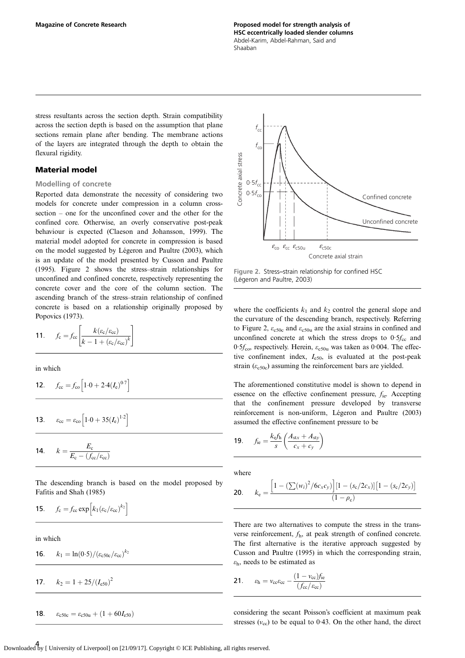stress resultants across the section depth. Strain compatibility across the section depth is based on the assumption that plane sections remain plane after bending. The membrane actions of the layers are integrated through the depth to obtain the flexural rigidity.

## Material model

#### Modelling of concrete

Reported data demonstrate the necessity of considering two models for concrete under compression in a column crosssection – one for the unconfined cover and the other for the confined core. Otherwise, an overly conservative post-peak behaviour is expected ([Claeson and Johansson, 1999\)](#page-9-0). The material model adopted for concrete in compression is based on the model suggested by [Légeron and Paultre \(2003\)](#page-9-0), which is an update of the model presented by [Cusson and Paultre](#page-9-0) [\(1995\)](#page-9-0). Figure 2 shows the stress–strain relationships for unconfined and confined concrete, respectively representing the concrete cover and the core of the column section. The ascending branch of the stress–strain relationship of confined concrete is based on a relationship originally proposed by [Popovics \(1973\)](#page-9-0).

$$
11. \qquad f_{\rm c} = f_{\rm cc} \left[ \frac{k(\varepsilon_{\rm c}/\varepsilon_{\rm cc})}{k - 1 + (\varepsilon_{\rm c}/\varepsilon_{\rm cc})^k} \right]
$$

in which

$$
12. \t f_{\rm cc} = f_{\rm co} \left[ 1.0 + 2.4 (I_{\rm e})^{0.7} \right]
$$

**13.** 
$$
\varepsilon_{\text{cc}} = \varepsilon_{\text{co}} \left[ 1.0 + 35(I_{\text{e}})^{1.2} \right]
$$

$$
14. \qquad k = \frac{E_{\rm c}}{E_{\rm c} - (f_{\rm cc}/\varepsilon_{\rm cc})}
$$

The descending branch is based on the model proposed by [Fafitis and Shah \(1985\)](#page-9-0)

$$
15. \qquad f_{\rm c} = f_{\rm cc} \exp \left[ k_1 (\varepsilon_{\rm c}/\varepsilon_{\rm cc})^{k_2} \right]
$$

in which

**16.** 
$$
k_1 = \ln(0.5)/(\varepsilon_{c50c}/\varepsilon_{cc})^{k_2}
$$

$$
k_2 = 1 + 25/(I_{e50})^2
$$

18.  $\varepsilon_{c50c} = \varepsilon_{c50u} + (1 + 60I_{e50})$ 





where the coefficients  $k_1$  and  $k_2$  control the general slope and the curvature of the descending branch, respectively. Referring to Figure 2,  $\varepsilon_{c50c}$  and  $\varepsilon_{c50u}$  are the axial strains in confined and unconfined concrete at which the stress drops to  $0.5f_{cc}$  and 0.5 $f_{\rm{co}}$ , respectively. Herein,  $\varepsilon_{\rm{c50u}}$  was taken as 0.004. The effective confinement index,  $I_{e50}$ , is evaluated at the post-peak strain  $(\varepsilon_{c,50c})$  assuming the reinforcement bars are yielded.

The aforementioned constitutive model is shown to depend in essence on the effective confinement pressure,  $f_{\text{ie}}$ . Accepting that the confinement pressure developed by transverse reinforcement is non-uniform, [Légeron and Paultre \(2003\)](#page-9-0) assumed the effective confinement pressure to be

$$
19. \qquad f_{\rm ie} = \frac{k_{\rm e} f_{\rm h}}{s} \left( \frac{A_{\rm stx} + A_{\rm sty}}{c_{\rm x} + c_{\rm y}} \right)
$$

where

$$
\textbf{20.} \qquad k_{\text{e}} = \frac{\left[1 - \left(\sum (w_i)^2 / 6c_x c_y\right)\right] \left[1 - \left(s_{\text{c}}/2c_x\right)\right] \left[1 - \left(s_{\text{c}}/2c_y\right)\right]}{\left(1 - \rho_{\text{c}}\right)}
$$

There are two alternatives to compute the stress in the transverse reinforcement, fh, at peak strength of confined concrete. The first alternative is the iterative approach suggested by [Cusson and Paultre \(1995\)](#page-9-0) in which the corresponding strain,  $\varepsilon_{h}$ , needs to be estimated as

$$
21. \qquad \varepsilon_{\rm h} = v_{\rm cc}\varepsilon_{\rm cc} - \frac{(1 - v_{\rm cc})f_{\rm ie}}{(f_{\rm cc}/\varepsilon_{\rm cc})}
$$

considering the secant Poisson's coefficient at maximum peak stresses  $(v_{\rm cc})$  to be equal to 0.43. On the other hand, the direct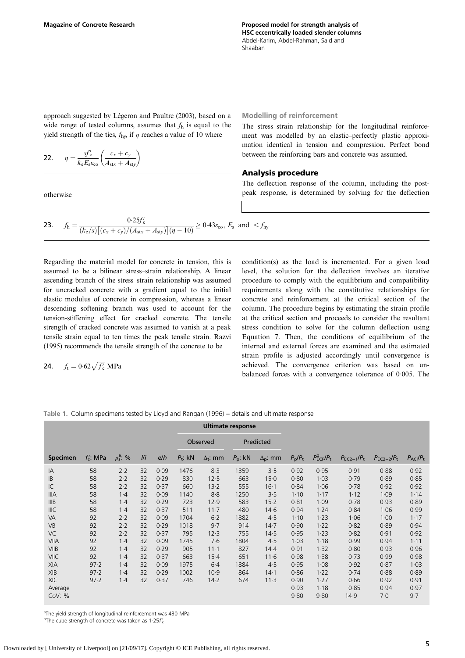<span id="page-4-0"></span>approach suggested by [Légeron and Paultre \(2003\)](#page-9-0), based on a wide range of tested columns, assumes that  $f<sub>h</sub>$  is equal to the yield strength of the ties,  $f_{\text{hys}}$  if  $\eta$  reaches a value of 10 where

$$
\mathbf{22.} \qquad \eta = \frac{s f_{\rm c}'}{k_{\rm e} E_{\rm s} \varepsilon_{\rm co}} \left( \frac{c_x + c_y}{A_{\rm stx} + A_{\rm sty}} \right)
$$

otherwise

Modelling of reinforcement

The stress–strain relationship for the longitudinal reinforcement was modelled by an elastic–perfectly plastic approximation identical in tension and compression. Perfect bond between the reinforcing bars and concrete was assumed.

#### Analysis procedure

The deflection response of the column, including the postpeak response, is determined by solving for the deflection

**23.** 
$$
f_h = \frac{0.25f'_c}{(k_e/s)\left[ (c_x + c_y)/(A_{\text{str}} + A_{\text{sty}}) \right] (\eta - 10)} \ge 0.43\varepsilon_{\text{co}}, E_s \text{ and } < f_{\text{hy}}
$$

Regarding the material model for concrete in tension, this is assumed to be a bilinear stress–strain relationship. A linear ascending branch of the stress–strain relationship was assumed for uncracked concrete with a gradient equal to the initial elastic modulus of concrete in compression, whereas a linear descending softening branch was used to account for the tension-stiffening effect for cracked concrete. The tensile strength of cracked concrete was assumed to vanish at a peak tensile strain equal to ten times the peak tensile strain. [Razvi](#page-9-0) [\(1995\)](#page-9-0) recommends the tensile strength of the concrete to be

$$
24. \t ft = 0.62 \sqrt{f'_{c}} MPa
$$

condition(s) as the load is incremented. For a given load level, the solution for the deflection involves an iterative procedure to comply with the equilibrium and compatibility requirements along with the constitutive relationships for concrete and reinforcement at the critical section of the column. The procedure begins by estimating the strain profile at the critical section and proceeds to consider the resultant stress condition to solve for the column deflection using [Equation 7](#page-2-0). Then, the conditions of equilibrium of the internal and external forces are examined and the estimated strain profile is adjusted accordingly until convergence is achieved. The convergence criterion was based on unbalanced forces with a convergence tolerance of 0·005. The

Table 1. Column specimens tested by [Lloyd and Rangan \(1996\)](#page-9-0) – details and ultimate response

|                 |              |                      |     |      |            |                 | <b>Ultimate response</b> |                   |                       |                                          |                   |                 |                               |
|-----------------|--------------|----------------------|-----|------|------------|-----------------|--------------------------|-------------------|-----------------------|------------------------------------------|-------------------|-----------------|-------------------------------|
|                 |              |                      |     |      |            | Observed        | Predicted                |                   |                       |                                          |                   |                 |                               |
| <b>Specimen</b> | $f'_c$ : MPa | $\rho_s^{\rm a}$ : % | I/I | e/h  | $P_t$ : kN | $\Delta_t$ : mm | $P_{\rm p}$ : kN         | $\Delta_{p}$ : mm | $P_{\rm p}/P_{\rm t}$ | $P_{\text{ECP}}^{\text{b}}/P_{\text{t}}$ | $P_{EC2-1}/P_{t}$ | $P_{EC2-2}/P_t$ | $P_{\text{ACI}}/P_{\text{t}}$ |
| IA              | 58           | 2.2                  | 32  | 0.09 | 1476       | 8.3             | 1359                     | 3.5               | 0.92                  | 0.95                                     | 0.91              | 0.88            | 0.92                          |
| IB              | 58           | 2.2                  | 32  | 0.29 | 830        | 12.5            | 663                      | 15.0              | 0.80                  | 1.03                                     | 0.79              | 0.89            | 0.85                          |
| IC              | 58           | 2.2                  | 32  | 0.37 | 660        | 13.2            | 555                      | 16.1              | 0.84                  | 1.06                                     | 0.78              | 0.92            | 0.92                          |
| <b>IIIA</b>     | 58           | $1-4$                | 32  | 0.09 | 1140       | 8.8             | 1250                     | 3.5               | 1.10                  | 1.17                                     | 1.12              | 1.09            | 1.14                          |
| IIIB            | 58           | $1-4$                | 32  | 0.29 | 723        | 12.9            | 583                      | 15.2              | 0.81                  | 1.09                                     | 0.78              | 0.93            | 0.89                          |
| IIIC            | 58           | $1-4$                | 32  | 0.37 | 511        | $11 - 7$        | 480                      | 14.6              | 0.94                  | 1.24                                     | 0.84              | 1.06            | 0.99                          |
| VA              | 92           | 2.2                  | 32  | 0.09 | 1704       | $6-2$           | 1882                     | 4.5               | $1 - 10$              | 1.23                                     | 1.06              | 1.00            | 1.17                          |
| <b>VB</b>       | 92           | 2.2                  | 32  | 0.29 | 1018       | 9.7             | 914                      | 14.7              | 0.90                  | 1.22                                     | 0.82              | 0.89            | 0.94                          |
| VC              | 92           | 2.2                  | 32  | 0.37 | 795        | 12.3            | 755                      | 14.5              | 0.95                  | 1.23                                     | 0.82              | 0.91            | 0.92                          |
| <b>VIIA</b>     | 92           | $1-4$                | 32  | 0.09 | 1745       | 7·6             | 1804                     | 4.5               | 1.03                  | 1.18                                     | 0.99              | 0.94            | $1 - 11$                      |
| <b>VIIB</b>     | 92           | $1-4$                | 32  | 0.29 | 905        | $11 - 1$        | 827                      | 14.4              | 0.91                  | 1.32                                     | 0.80              | 0.93            | 0.96                          |
| VIIC            | 92           | $1-4$                | 32  | 0.37 | 663        | $15-4$          | 651                      | 11.6              | 0.98                  | 1.38                                     | 0.73              | 0.99            | 0.98                          |
| <b>XIA</b>      | 97.2         | $1-4$                | 32  | 0.09 | 1975       | $6-4$           | 1884                     | 4.5               | 0.95                  | 1.08                                     | 0.92              | 0.87            | 1.03                          |
| <b>XIB</b>      | 97.2         | $1-4$                | 32  | 0.29 | 1002       | 10.9            | 864                      | 14.1              | 0.86                  | 1.22                                     | 0.74              | 0.88            | 0.89                          |
| <b>XIC</b>      | 97.2         | $1-4$                | 32  | 0.37 | 746        | 14.2            | 674                      | 11.3              | 0.90                  | 1.27                                     | 0.66              | 0.92            | 0.91                          |
| Average         |              |                      |     |      |            |                 |                          |                   | 0.93                  | 1.18                                     | 0.85              | 0.94            | 0.97                          |
| Cov: %          |              |                      |     |      |            |                 |                          |                   | 9.80                  | 9.80                                     | 14.9              | 7·0             | 9.7                           |

<sup>a</sup>The yield strength of longitudinal reinforcement was 430 MPa

<sup>b</sup>The cube strength of concrete was taken as 1.25 $f'_{c}$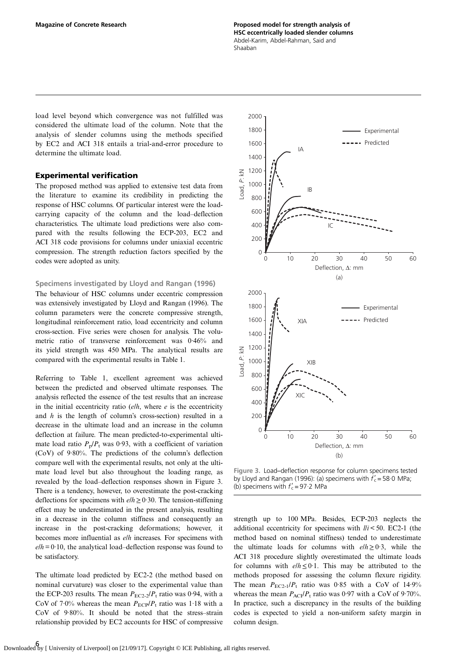Magazine of Concrete Research Proposed model for strength analysis of HSC eccentrically loaded slender columns Abdel-Karim, Abdel-Rahman, Said and Shaaban

load level beyond which convergence was not fulfilled was considered the ultimate load of the column. Note that the analysis of slender columns using the methods specified by EC2 and ACI 318 entails a trial-and-error procedure to determine the ultimate load.

## Experimental verification

The proposed method was applied to extensive test data from the literature to examine its credibility in predicting the response of HSC columns. Of particular interest were the loadcarrying capacity of the column and the load–deflection characteristics. The ultimate load predictions were also compared with the results following the ECP-203, EC2 and ACI 318 code provisions for columns under uniaxial eccentric compression. The strength reduction factors specified by the codes were adopted as unity.

#### Specimens investigated by [Lloyd and Rangan \(1996\)](#page-9-0)

The behaviour of HSC columns under eccentric compression was extensively investigated by [Lloyd and Rangan \(1996\)](#page-9-0). The column parameters were the concrete compressive strength, longitudinal reinforcement ratio, load eccentricity and column cross-section. Five series were chosen for analysis. The volumetric ratio of transverse reinforcement was 0·46% and its yield strength was 450 MPa. The analytical results are compared with the experimental results in [Table 1.](#page-4-0)

Referring to [Table 1,](#page-4-0) excellent agreement was achieved between the predicted and observed ultimate responses. The analysis reflected the essence of the test results that an increase in the initial eccentricity ratio  $(e/h)$ , where e is the eccentricity and h is the length of column's cross-section) resulted in a decrease in the ultimate load and an increase in the column deflection at failure. The mean predicted-to-experimental ultimate load ratio  $P_p/P_t$  was 0.93, with a coefficient of variation (CoV) of 9·80%. The predictions of the column's deflection compare well with the experimental results, not only at the ultimate load level but also throughout the loading range, as revealed by the load–deflection responses shown in Figure 3. There is a tendency, however, to overestimate the post-cracking deflections for specimens with  $elh \ge 0.30$ . The tension-stiffening effect may be underestimated in the present analysis, resulting in a decrease in the column stiffness and consequently an increase in the post-cracking deformations; however, it becomes more influential as elh increases. For specimens with  $e/h = 0.10$ , the analytical load–deflection response was found to be satisfactory.

The ultimate load predicted by EC2-2 (the method based on nominal curvature) was closer to the experimental value than the ECP-203 results. The mean  $P_{EC2-2}/P_t$  ratio was 0.94, with a CoV of 7.0% whereas the mean  $P_{ECP}/P_t$  ratio was 1.18 with a CoV of 9·80%. It should be noted that the stress–strain relationship provided by EC2 accounts for HSC of compressive



Figure 3. Load–deflection response for column specimens tested by [Lloyd and Rangan \(1996\):](#page-9-0) (a) specimens with  $f_c' = 58.0$  MPa; (b) specimens with  $f'_{c} = 97.2$  MPa

strength up to 100 MPa. Besides, ECP-203 neglects the additional eccentricity for specimens with  $\ell / i < 50$ . EC2-1 (the method based on nominal stiffness) tended to underestimate the ultimate loads for columns with  $elh \geq 0.3$ , while the ACI 318 procedure slightly overestimated the ultimate loads for columns with  $elh \leq 0.1$ . This may be attributed to the methods proposed for assessing the column flexure rigidity. The mean  $P_{EC2-1}/P_t$  ratio was 0.85 with a CoV of 14.9% whereas the mean  $P_{ACI}/P_t$  ratio was 0.97 with a CoV of 9.70%. In practice, such a discrepancy in the results of the building codes is expected to yield a non-uniform safety margin in column design.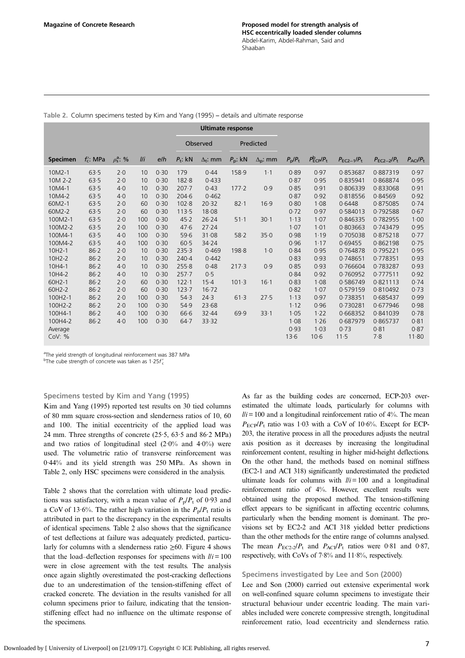|                 |              |                      |     |      | <b>Ultimate response</b> |                 |                  |                   |                       |                                          |                 |                 |                               |
|-----------------|--------------|----------------------|-----|------|--------------------------|-----------------|------------------|-------------------|-----------------------|------------------------------------------|-----------------|-----------------|-------------------------------|
|                 |              |                      |     |      | Observed                 |                 | Predicted        |                   |                       |                                          |                 |                 |                               |
| <b>Specimen</b> | $f'_c$ : MPa | $\rho_s^{\rm a}$ : % | I/I | e/h  | $P_t$ : kN               | $\Delta_t$ : mm | $P_{\rm p}$ : kN | $\Delta_{p}$ : mm | $P_{\rm p}/P_{\rm t}$ | $P_{\text{ECP}}^{\text{b}}/P_{\text{t}}$ | $P_{EC2-1}/P_t$ | $P_{EC2-2}/P_t$ | $P_{\text{ACI}}/P_{\text{t}}$ |
| 10M2-1          | 63.5         | 2.0                  | 10  | 0.30 | 179                      | 0.44            | 158.9            | $1-1$             | 0.89                  | 0.97                                     | 0.853687        | 0.887319        | 0.97                          |
| 10M 2-2         | 63.5         | 2.0                  | 10  | 0.30 | 182.8                    | 0.433           |                  |                   | 0.87                  | 0.95                                     | 0.835941        | 0.868874        | 0.95                          |
| 10M4-1          | 63.5         | 4.0                  | 10  | 0.30 | $207 - 7$                | 0.43            | 177.2            | 0.9               | 0.85                  | 0.91                                     | 0.806339        | 0.833068        | 0.91                          |
| 10M4-2          | 63.5         | 4.0                  | 10  | 0.30 | $204 - 6$                | 0.462           |                  |                   | 0.87                  | 0.92                                     | 0.818556        | 0.84569         | 0.92                          |
| 60M2-1          | 63.5         | 2.0                  | 60  | 0.30 | 102.8                    | 20.32           | $82 - 1$         | 16.9              | 0.80                  | 1.08                                     | 0.6448          | 0.875085        | 0.74                          |
| 60M2-2          | 63.5         | 2.0                  | 60  | 0.30 | 113.5                    | 18.08           |                  |                   | 0.72                  | 0.97                                     | 0.584013        | 0.792588        | 0.67                          |
| 100M2-1         | 63.5         | 2.0                  | 100 | 0.30 | 45.2                     | 26.24           | $51-1$           | $30 - 1$          | 1.13                  | 1.07                                     | 0.846335        | 0.782955        | 1.00                          |
| 100M2-2         | 63.5         | 2.0                  | 100 | 0.30 | 47.6                     | 27.24           |                  |                   | 1.07                  | 1.01                                     | 0.803663        | 0.743479        | 0.95                          |
| 100M4-1         | 63.5         | 4.0                  | 100 | 0.30 | 59.6                     | 31.08           | 58.2             | 35.0              | 0.98                  | 1.19                                     | 0.705038        | 0.875218        | 0.77                          |
| 100M4-2         | 63.5         | 4.0                  | 100 | 0.30 | 60.5                     | 34.24           |                  |                   | 0.96                  | 1.17                                     | 0.69455         | 0.862198        | 0.75                          |
| 10H2-1          | 86.2         | 2.0                  | 10  | 0.30 | 235.3                    | 0.469           | 198.8            | $1-0$             | 0.84                  | 0.95                                     | 0.764878        | 0.795221        | 0.95                          |
| 10H2-2          | 86.2         | 2.0                  | 10  | 0.30 | $240 - 4$                | 0.442           |                  |                   | 0.83                  | 0.93                                     | 0.748651        | 0.778351        | 0.93                          |
| 10H4-1          | 86.2         | 4.0                  | 10  | 0.30 | 255.8                    | 0.48            | 217.3            | 0.9               | 0.85                  | 0.93                                     | 0.766604        | 0.783287        | 0.93                          |
| 10H4-2          | 86.2         | 4.0                  | 10  | 0.30 | $257 - 7$                | 0.5             |                  |                   | 0.84                  | 0.92                                     | 0.760952        | 0.777511        | 0.92                          |
| 60H2-1          | 86.2         | 2.0                  | 60  | 0.30 | 122.1                    | $15-4$          | 101.3            | $16 - 1$          | 0.83                  | 1.08                                     | 0.586749        | 0.821113        | 0.74                          |
| 60H2-2          | 86.2         | 2.0                  | 60  | 0.30 | 123.7                    | 16.72           |                  |                   | 0.82                  | 1.07                                     | 0.579159        | 0.810492        | 0.73                          |
| 100H2-1         | 86.2         | 2.0                  | 100 | 0.30 | 54.3                     | 24.3            | 61.3             | 27.5              | 1.13                  | 0.97                                     | 0.738351        | 0.685437        | 0.99                          |
| 100H2-2         | 86.2         | 2.0                  | 100 | 0.30 | 54.9                     | 23.68           |                  |                   | 1.12                  | 0.96                                     | 0.730281        | 0.677946        | 0.98                          |
| 100H4-1         | 86.2         | 4.0                  | 100 | 0.30 | 66.6                     | 32.44           | 69.9             | 33.1              | 1.05                  | 1.22                                     | 0.668352        | 0.841039        | 0.78                          |
| 100H4-2         | 86.2         | 4.0                  | 100 | 0.30 | $64 - 7$                 | 33.32           |                  |                   | 1.08                  | 1.26                                     | 0.687979        | 0.865737        | 0.81                          |
| Average         |              |                      |     |      |                          |                 |                  |                   | 0.93                  | 1.03                                     | 0.73            | 0.81            | 0.87                          |
| Cov: %          |              |                      |     |      |                          |                 |                  |                   | 13.6                  | $10-6$                                   | 11.5            | 7.8             | 11.80                         |

Table 2. Column specimens tested by [Kim and Yang \(1995\)](#page-9-0) – details and ultimate response

<sup>a</sup>The yield strength of longitudinal reinforcement was 387 MPa

<sup>b</sup>The cube strength of concrete was taken as 1.25 $f'_{c}$ 

Specimens tested by [Kim and Yang \(1995\)](#page-9-0)

[Kim and Yang \(1995\)](#page-9-0) reported test results on 30 tied columns of 80 mm square cross-section and slenderness ratios of 10, 60 and 100. The initial eccentricity of the applied load was 24 mm. Three strengths of concrete (25·5, 63·5 and 86·2 MPa) and two ratios of longitudinal steel  $(2.0\%$  and  $4.0\%)$  were used. The volumetric ratio of transverse reinforcement was 0·44% and its yield strength was 250 MPa. As shown in Table 2, only HSC specimens were considered in the analysis.

Table 2 shows that the correlation with ultimate load predictions was satisfactory, with a mean value of  $P_p/P_t$  of 0.93 and a CoV of 13.6%. The rather high variation in the  $P_p/P_t$  ratio is attributed in part to the discrepancy in the experimental results of identical specimens. Table 2 also shows that the significance of test deflections at failure was adequately predicted, particularly for columns with a slenderness ratio  $\geq 60$ . [Figure 4](#page-7-0) shows that the load–deflection responses for specimens with  $\ell / i = 100$ were in close agreement with the test results. The analysis once again slightly overestimated the post-cracking deflections due to an underestimation of the tension-stiffening effect of cracked concrete. The deviation in the results vanished for all column specimens prior to failure, indicating that the tensionstiffening effect had no influence on the ultimate response of the specimens.

As far as the building codes are concerned, ECP-203 overestimated the ultimate loads, particularly for columns with  $li = 100$  and a longitudinal reinforcement ratio of 4%. The mean  $P_{\text{ECP}}/P_{\text{t}}$  ratio was 1.03 with a CoV of 10.6%. Except for ECP-203, the iterative process in all the procedures adjusts the neutral axis position as it decreases by increasing the longitudinal reinforcement content, resulting in higher mid-height deflections. On the other hand, the methods based on nominal stiffness (EC2-1 and ACI 318) significantly underestimated the predicted ultimate loads for columns with  $\ell i = 100$  and a longitudinal reinforcement ratio of 4%. However, excellent results were obtained using the proposed method. The tension-stiffening effect appears to be significant in affecting eccentric columns, particularly when the bending moment is dominant. The provisions set by EC2-2 and ACI 318 yielded better predictions than the other methods for the entire range of columns analysed. The mean  $P_{EC2-2}/P_t$  and  $P_{ACI}/P_t$  ratios were 0.81 and 0.87, respectively, with CoVs of 7·8% and 11·8%, respectively.

#### Specimens investigated by [Lee and Son \(2000\)](#page-9-0)

[Lee and Son \(2000\)](#page-9-0) carried out extensive experimental work on well-confined square column specimens to investigate their structural behaviour under eccentric loading. The main variables included were concrete compressive strength, longitudinal reinforcement ratio, load eccentricity and slenderness ratio.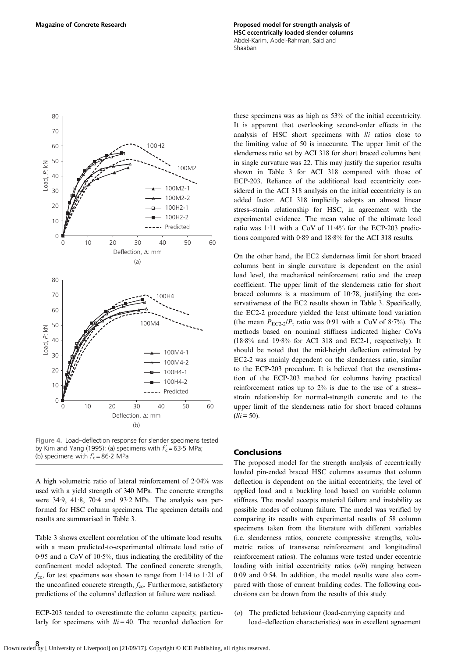<span id="page-7-0"></span>Magazine of Concrete Research Proposed model for strength analysis of HSC eccentrically loaded slender columns Abdel-Karim, Abdel-Rahman, Said and Shaaban



Figure 4. Load–deflection response for slender specimens tested by [Kim and Yang \(1995\):](#page-9-0) (a) specimens with  $f'_{c} = 63.5$  MPa; (b) specimens with  $f'_c = 86.2$  MPa

A high volumetric ratio of lateral reinforcement of 2·04% was used with a yield strength of 340 MPa. The concrete strengths were 34·9, 41·8, 70·4 and 93·2 MPa. The analysis was performed for HSC column specimens. The specimen details and results are summarised in [Table 3](#page-8-0).

[Table 3](#page-8-0) shows excellent correlation of the ultimate load results, with a mean predicted-to-experimental ultimate load ratio of 0·95 and a CoV of 10·5%, thus indicating the credibility of the confinement model adopted. The confined concrete strength,  $f_{\rm cc}$ , for test specimens was shown to range from 1.14 to 1.21 of the unconfined concrete strength,  $f_{\rm co}$ . Furthermore, satisfactory predictions of the columns' deflection at failure were realised.

ECP-203 tended to overestimate the column capacity, particularly for specimens with  $\ell / i = 40$ . The recorded deflection for these specimens was as high as 53% of the initial eccentricity. It is apparent that overlooking second-order effects in the analysis of HSC short specimens with  $lli$  ratios close to the limiting value of 50 is inaccurate. The upper limit of the slenderness ratio set by ACI 318 for short braced columns bent in single curvature was 22. This may justify the superior results shown in [Table 3](#page-8-0) for ACI 318 compared with those of ECP-203. Reliance of the additional load eccentricity considered in the ACI 318 analysis on the initial eccentricity is an added factor. ACI 318 implicitly adopts an almost linear stress–strain relationship for HSC, in agreement with the experimental evidence. The mean value of the ultimate load ratio was 1·11 with a CoV of 11·4% for the ECP-203 predictions compared with 0·89 and 18·8% for the ACI 318 results.

On the other hand, the EC2 slenderness limit for short braced columns bent in single curvature is dependent on the axial load level, the mechanical reinforcement ratio and the creep coefficient. The upper limit of the slenderness ratio for short braced columns is a maximum of 10·78, justifying the conservativeness of the EC2 results shown in [Table 3](#page-8-0). Specifically, the EC2-2 procedure yielded the least ultimate load variation (the mean  $P_{\text{EC2-2}}/P_{\text{t}}$  ratio was 0.91 with a CoV of 8.7%). The methods based on nominal stiffness indicated higher CoVs (18·8% and 19·8% for ACI 318 and EC2-1, respectively). It should be noted that the mid-height deflection estimated by EC2-2 was mainly dependent on the slenderness ratio, similar to the ECP-203 procedure. It is believed that the overestimation of the ECP-203 method for columns having practical reinforcement ratios up to 2% is due to the use of a stress– strain relationship for normal-strength concrete and to the upper limit of the slenderness ratio for short braced columns  $(1/i = 50)$ .

#### Conclusions

The proposed model for the strength analysis of eccentrically loaded pin-ended braced HSC columns assumes that column deflection is dependent on the initial eccentricity, the level of applied load and a buckling load based on variable column stiffness. The model accepts material failure and instability as possible modes of column failure. The model was verified by comparing its results with experimental results of 58 column specimens taken from the literature with different variables (i.e. slenderness ratios, concrete compressive strengths, volumetric ratios of transverse reinforcement and longitudinal reinforcement ratios). The columns were tested under eccentric loading with initial eccentricity ratios (elh) ranging between 0·09 and 0·54. In addition, the model results were also compared with those of current building codes. The following conclusions can be drawn from the results of this study.

(a) The predicted behaviour (load-carrying capacity and load–deflection characteristics) was in excellent agreement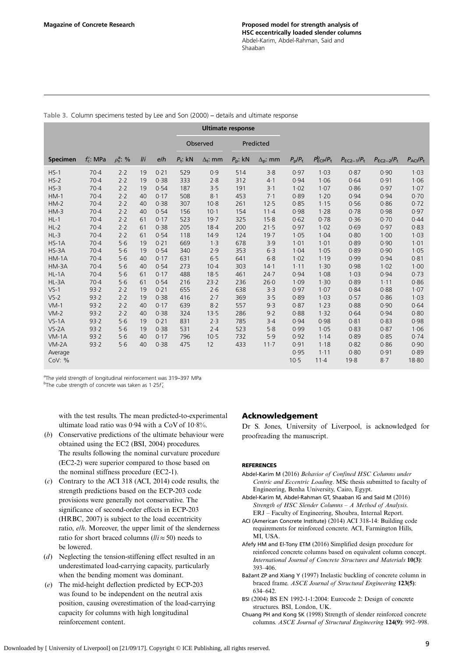|                 |              |                      |     |      | <b>Ultimate response</b> |                 |                  |                   |                       |                                          |                 |                 |                               |
|-----------------|--------------|----------------------|-----|------|--------------------------|-----------------|------------------|-------------------|-----------------------|------------------------------------------|-----------------|-----------------|-------------------------------|
|                 |              |                      |     |      | Predicted<br>Observed    |                 |                  |                   |                       |                                          |                 |                 |                               |
| <b>Specimen</b> | $f'_c$ : MPa | $\rho_s^{\rm a}$ : % | I/I | e/h  | $P_t$ : kN               | $\Delta_t$ : mm | $P_{\rm p}$ : kN | $\Delta_{p}$ : mm | $P_{\rm p}/P_{\rm t}$ | $P_{\text{ECP}}^{\text{b}}/P_{\text{t}}$ | $P_{EC2-1}/P_t$ | $P_{EC2-2}/P_t$ | $P_{\text{ACI}}/P_{\text{t}}$ |
| $HS-1$          | 70.4         | 2.2                  | 19  | 0.21 | 529                      | 0.9             | 514              | 3.8               | 0.97                  | 1.03                                     | 0.87            | 0.90            | 1.03                          |
| $HS-2$          | 70.4         | 2.2                  | 19  | 0.38 | 333                      | 2.8             | 312              | 4.1               | 0.94                  | 1.06                                     | 0.64            | 0.91            | 1.06                          |
| $HS-3$          | $70-4$       | 2.2                  | 19  | 0.54 | 187                      | 3.5             | 191              | $3-1$             | 1.02                  | 1.07                                     | 0.86            | 0.97            | 1.07                          |
| $HM-1$          | $70-4$       | 2.2                  | 40  | 0.17 | 508                      | $8-1$           | 453              | 7.1               | 0.89                  | 1.20                                     | 0.94            | 0.94            | 0.70                          |
| $HM-2$          | 70.4         | 2.2                  | 40  | 0.38 | 307                      | $10-8$          | 261              | 12.5              | 0.85                  | 1.15                                     | 0.56            | 0.86            | 0.72                          |
| $HM-3$          | 70.4         | 2.2                  | 40  | 0.54 | 156                      | $10-1$          | 154              | $11 - 4$          | 0.98                  | 1.28                                     | 0.78            | 0.98            | 0.97                          |
| $HL-1$          | $70-4$       | 2.2                  | 61  | 0.17 | 523                      | 19.7            | 325              | 15.8              | 0.62                  | 0.78                                     | 0.36            | 0.70            | 0.44                          |
| $HL-2$          | $70-4$       | 2.2                  | 61  | 0.38 | 205                      | 18.4            | 200              | 21.5              | 0.97                  | 1.02                                     | 0.69            | 0.97            | 0.83                          |
| $HL-3$          | $70-4$       | 2.2                  | 61  | 0.54 | 118                      | 14.9            | 124              | 19.7              | 1.05                  | 1.04                                     | 0.80            | 1.00            | 1.03                          |
| $HS-1A$         | $70-4$       | 5·6                  | 19  | 0.21 | 669                      | 1.3             | 678              | 3.9               | 1.01                  | 1.01                                     | 0.89            | 0.90            | 1.01                          |
| $HS-3A$         | 70.4         | 5.6                  | 19  | 0.54 | 340                      | 2.9             | 353              | 6.3               | 1.04                  | 1.05                                     | 0.89            | 0.90            | 1.05                          |
| $HM-1A$         | $70-4$       | 5.6                  | 40  | 0.17 | 631                      | 6.5             | 641              | 6.8               | 1.02                  | 1.19                                     | 0.99            | 0.94            | 0.81                          |
| HM-3A           | 70.4         | 5.6                  | 40  | 0.54 | 273                      | $10-4$          | 303              | 14.1              | 1.11                  | 1.30                                     | 0.98            | 1.02            | 1.00                          |
| $HL-1A$         | 70.4         | 5.6                  | 61  | 0.17 | 488                      | 18.5            | 461              | 24.7              | 0.94                  | 1.08                                     | 1.03            | 0.94            | 0.73                          |
| HL-3A           | $70-4$       | 5.6                  | 61  | 0.54 | 216                      | 23.2            | 236              | 26.0              | 1.09                  | 1.30                                     | 0.89            | 1.11            | 0.86                          |
| $VS-1$          | 93.2         | 2.2                  | 19  | 0.21 | 655                      | 2.6             | 638              | 3.3               | 0.97                  | 1.07                                     | 0.84            | 0.88            | 1.07                          |
| $VS-2$          | 93.2         | 2.2                  | 19  | 0.38 | 416                      | 2.7             | 369              | 3.5               | 0.89                  | 1.03                                     | 0.57            | 0.86            | 1.03                          |
| $VM-1$          | 93.2         | 2.2                  | 40  | 0.17 | 639                      | $8-2$           | 557              | 9.3               | 0.87                  | 1.23                                     | 0.88            | 0.90            | 0.64                          |
| $VM-2$          | 93.2         | 2.2                  | 40  | 0.38 | 324                      | 13.5            | 286              | 9.2               | 0.88                  | 1.32                                     | 0.64            | 0.94            | 0.80                          |
| $VS-1A$         | 93.2         | 5.6                  | 19  | 0.21 | 831                      | 2.3             | 785              | 3.4               | 0.94                  | 0.98                                     | 0.81            | 0.83            | 0.98                          |
| $VS-2A$         | 93.2         | 5·6                  | 19  | 0.38 | 531                      | 2.4             | 523              | 5.8               | 0.99                  | 1.05                                     | 0.83            | 0.87            | 1.06                          |
| $VM-1A$         | 93.2         | 5.6                  | 40  | 0.17 | 796                      | 10.5            | 732              | 5.9               | 0.92                  | 1.14                                     | 0.89            | 0.85            | 0.74                          |
| $VM-2A$         | 93.2         | 5.6                  | 40  | 0.38 | 475                      | 12              | 433              | $11 - 7$          | 0.91                  | 1.18                                     | 0.82            | 0.86            | 0.90                          |
| Average         |              |                      |     |      |                          |                 |                  |                   | 0.95                  | 1.11                                     | 0.80            | 0.91            | 0.89                          |
| CoV: %          |              |                      |     |      |                          |                 |                  |                   | 10.5                  | $11 - 4$                                 | 19.8            | 8.7             | 18.80                         |

<span id="page-8-0"></span>Table 3. Column specimens tested by [Lee and Son \(2000\)](#page-9-0) – details and ultimate response

<sup>a</sup>The yield strength of longitudinal reinforcement was 319-397 MPa

<sup>b</sup>The cube strength of concrete was taken as 1.25 $f'_{c}$ 

with the test results. The mean predicted-to-experimental ultimate load ratio was 0·94 with a CoV of 10·8%.

- (b) Conservative predictions of the ultimate behaviour were obtained using the EC2 (BSI, 2004) procedures. The results following the nominal curvature procedure (EC2-2) were superior compared to those based on the nominal stiffness procedure (EC2-1).
- (c) Contrary to the ACI 318 (ACI, 2014) code results, the strength predictions based on the ECP-203 code provisions were generally not conservative. The significance of second-order effects in ECP-203 [\(HRBC, 2007\)](#page-9-0) is subject to the load eccentricity ratio, e/h. Moreover, the upper limit of the slenderness ratio for short braced columns ( $lli \approx 50$ ) needs to be lowered.
- (d) Neglecting the tension-stiffening effect resulted in an underestimated load-carrying capacity, particularly when the bending moment was dominant.
- (e) The mid-height deflection predicted by ECP-203 was found to be independent on the neutral axis position, causing overestimation of the load-carrying capacity for columns with high longitudinal reinforcement content.

# Acknowledgement

Dr S. Jones, University of Liverpool, is acknowledged for proofreading the manuscript.

## **REFERENCES**

- Abdel-Karim M (2016) Behavior of Confined HSC Columns under Centric and Eccentric Loading. MSc thesis submitted to faculty of Engineering, Benha University, Cairo, Egypt.
- Abdel-Karim M, Abdel-Rahman GT, Shaaban IG and Said M (2016) Strength of HSC Slender Columns – A Method of Analysis. ERJ – Faculty of Engineering, Shoubra, Internal Report.
- ACI (American Concrete Institute) (2014) ACI 318-14: Building code requirements for reinforced concrete. ACI, Farmington Hills, MI, USA.
- Afefy HM and El-Tony ETM (2016) Simplified design procedure for reinforced concrete columns based on equivalent column concept. International Journal of Concrete Structures and Materials 10(3): 393–406.
- Bažant ZP and Xiang Y (1997) Inelastic buckling of concrete column in braced frame. ASCE Journal of Structural Engineering 123(5): 634–642.
- BSI (2004) BS EN 1992-1-1:2004: Eurocode 2: Design of concrete structures. BSI, London, UK.
- Chuang PH and Kong SK (1998) Strength of slender reinforced concrete columns. ASCE Journal of Structural Engineering 124(9): 992–998.